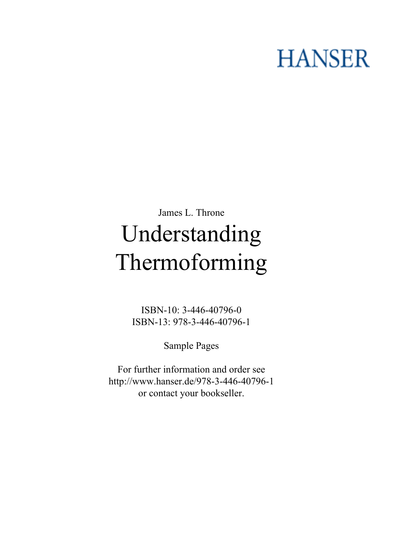# **HANSER**

## **James L. Throne Understanding Thermoforming**

**ISBN-10: 3-446-40796-0 ISBN-13: 978-3-446-40796-1**

**Sample Pages**

**For further information and order see <http://www.hanser.de/978-3-446-40796-1> or contact your bookseller.**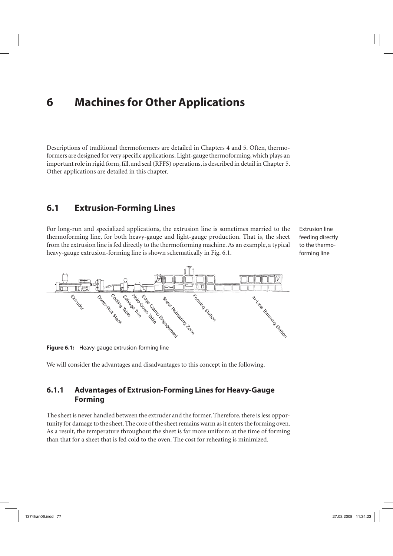### **6 Machines for Other Applications**

Descriptions of traditional thermoformers are detailed in Chapters 4 and 5. Often, thermoformers are designed for very specific applications. Light-gauge thermoforming, which plays an important role in rigid form, fill, and seal (RFFS) operations, is described in detail in Chapter 5. Other applications are detailed in this chapter.

#### **6.1 Extrusion-Forming Lines**

For long-run and specialized applications, the extrusion line is sometimes married to the thermoforming line, for both heavy-gauge and light-gauge production. That is, the sheet from the extrusion line is fed directly to the thermoforming machine. As an example, a typical heavy-gauge extrusion-forming line is shown schematically in Fig. 6.1.

Extrusion line feeding directly to the thermoforming line



**Figure 6.1:** Heavy-gauge extrusion-forming line

We will consider the advantages and disadvantages to this concept in the following.

#### **6.1.1 Advantages of Extrusion-Forming Lines for Heavy-Gauge Forming**

The sheet is never handled between the extruder and the former. Therefore, there is less opportunity for damage to the sheet. The core of the sheet remains warm as it enters the forming oven. As a result, the temperature throughout the sheet is far more uniform at the time of forming than that for a sheet that is fed cold to the oven. The cost for reheating is minimized.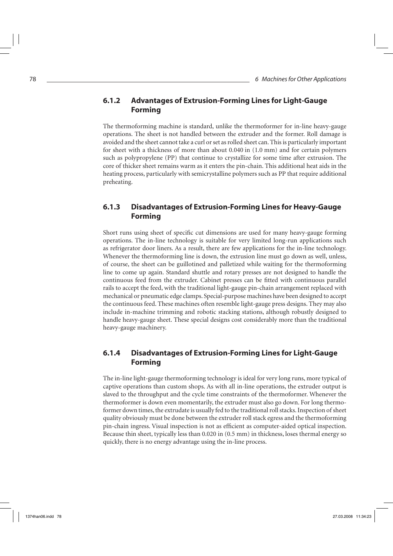#### **6.1.2 Advantages of Extrusion-Forming Lines for Light-Gauge Forming**

The thermoforming machine is standard, unlike the thermoformer for in-line heavy-gauge operations. The sheet is not handled between the extruder and the former. Roll damage is avoided and the sheet cannot take a curl or set as rolled sheet can. This is particularly important for sheet with a thickness of more than about 0.040 in (1.0 mm) and for certain polymers such as polypropylene (PP) that continue to crystallize for some time after extrusion. The core of thicker sheet remains warm as it enters the pin-chain. This additional heat aids in the heating process, particularly with semicrystalline polymers such as PP that require additional preheating.

#### **6.1.3 Disadvantages of Extrusion-Forming Lines for Heavy-Gauge Forming**

Short runs using sheet of specific cut dimensions are used for many heavy-gauge forming operations. The in-line technology is suitable for very limited long-run applications such as refrigerator door liners. As a result, there are few applications for the in-line technology. Whenever the thermoforming line is down, the extrusion line must go down as well, unless, of course, the sheet can be guillotined and palletized while waiting for the thermoforming line to come up again. Standard shuttle and rotary presses are not designed to handle the continuous feed from the extruder. Cabinet presses can be fitted with continuous parallel rails to accept the feed, with the traditional light-gauge pin-chain arrangement replaced with mechanical or pneumatic edge clamps. Special-purpose machines have been designed to accept the continuous feed. These machines often resemble light-gauge press designs. They may also include in-machine trimming and robotic stacking stations, although robustly designed to handle heavy-gauge sheet. These special designs cost considerably more than the traditional heavy-gauge machinery.

#### **6.1.4 Disadvantages of Extrusion-Forming Lines for Light-Gauge Forming**

The in-line light-gauge thermoforming technology is ideal for very long runs, more typical of captive operations than custom shops. As with all in-line operations, the extruder output is slaved to the throughput and the cycle time constraints of the thermoformer. Whenever the thermoformer is down even momentarily, the extruder must also go down. For long thermoformer down times, the extrudate is usually fed to the traditional roll stacks. Inspection of sheet quality obviously must be done between the extruder roll stack egress and the thermoforming pin-chain ingress. Visual inspection is not as efficient as computer-aided optical inspection. Because thin sheet, typically less than 0.020 in (0.5 mm) in thickness, loses thermal energy so quickly, there is no energy advantage using the in-line process.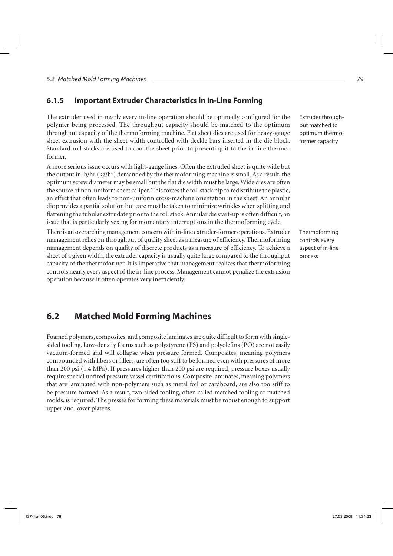#### **6.1.5 Important Extruder Characteristics in In-Line Forming**

The extruder used in nearly every in-line operation should be optimally configured for the polymer being processed. The throughput capacity should be matched to the optimum throughput capacity of the thermoforming machine. Flat sheet dies are used for heavy-gauge sheet extrusion with the sheet width controlled with deckle bars inserted in the die block. Standard roll stacks are used to cool the sheet prior to presenting it to the in-line thermoformer.

A more serious issue occurs with light-gauge lines. Often the extruded sheet is quite wide but the output in lb/hr (kg/hr) demanded by the thermoforming machine is small. As a result, the optimum screw diameter may be small but the flat die width must be large. Wide dies are often the source of non-uniform sheet caliper. This forces the roll stack nip to redistribute the plastic, an effect that often leads to non-uniform cross-machine orientation in the sheet. An annular die provides a partial solution but care must be taken to minimize wrinkles when splitting and flattening the tubular extrudate prior to the roll stack. Annular die start-up is often difficult, an issue that is particularly vexing for momentary interruptions in the thermoforming cycle.

There is an overarching management concern with in-line extruder-former operations. Extruder management relies on throughput of quality sheet as a measure of efficiency. Thermoforming management depends on quality of discrete products as a measure of efficiency. To achieve a sheet of a given width, the extruder capacity is usually quite large compared to the throughput capacity of the thermoformer. It is imperative that management realizes that thermoforming controls nearly every aspect of the in-line process. Management cannot penalize the extrusion operation because it often operates very inefficiently.

Extruder throughput matched to optimum thermoformer capacity

Thermoforming controls every aspect of in-line process

#### **6.2 Matched Mold Forming Machines**

Foamed polymers, composites, and composite laminates are quite difficult to form with singlesided tooling. Low-density foams such as polystyrene (PS) and polyolefins (PO) are not easily vacuum-formed and will collapse when pressure formed. Composites, meaning polymers compounded with fibers or fillers, are often too stiff to be formed even with pressures of more than 200 psi (1.4 MPa). If pressures higher than 200 psi are required, pressure boxes usually require special unfired pressure vessel certifications. Composite laminates, meaning polymers that are laminated with non-polymers such as metal foil or cardboard, are also too stiff to be pressure-formed. As a result, two-sided tooling, often called matched tooling or matched molds, is required. The presses for forming these materials must be robust enough to support upper and lower platens.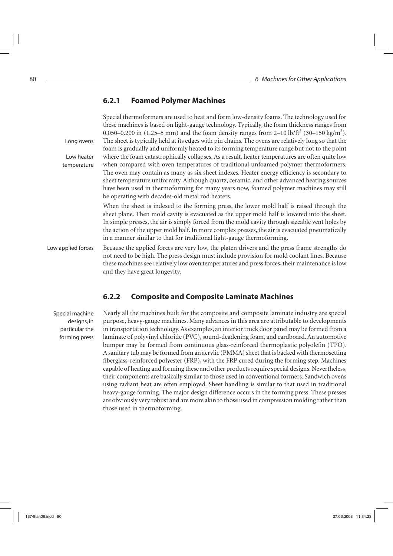#### **6.2.1 Foamed Polymer Machines**

Special thermoformers are used to heat and form low-density foams. The technology used for these machines is based on light-gauge technology. Typically, the foam thickness ranges from 0.050–0.200 in (1.25–5 mm) and the foam density ranges from 2–10 lb/ft<sup>3</sup> (30–150 kg/m<sup>3</sup>). The sheet is typically held at its edges with pin chains. The ovens are relatively long so that the foam is gradually and uniformly heated to its forming temperature range but not to the point where the foam catastrophically collapses. As a result, heater temperatures are often quite low when compared with oven temperatures of traditional unfoamed polymer thermoformers. The oven may contain as many as six sheet indexes. Heater energy efficiency is secondary to sheet temperature uniformity. Although quartz, ceramic, and other advanced heating sources have been used in thermoforming for many years now, foamed polymer machines may still be operating with decades-old metal rod heaters. When the sheet is indexed to the forming press, the lower mold half is raised through the sheet plane. Then mold cavity is evacuated as the upper mold half is lowered into the sheet. In simple presses, the air is simply forced from the mold cavity through sizeable vent holes by the action of the upper mold half. In more complex presses, the air is evacuated pneumatically in a manner similar to that for traditional light-gauge thermoforming. Because the applied forces are very low, the platen drivers and the press frame strengths do not need to be high. The press design must include provision for mold coolant lines. Because these machines see relatively low oven temperatures and press forces, their maintenance is low and they have great longevity. Long ovens Low heater temperature Low applied forces

#### **6.2.2 Composite and Composite Laminate Machines**

Special machine designs, in particular the forming press Nearly all the machines built for the composite and composite laminate industry are special purpose, heavy-gauge machines. Many advances in this area are attributable to developments in transportation technology. As examples, an interior truck door panel may be formed from a laminate of polyvinyl chloride (PVC), sound-deadening foam, and cardboard. An automotive bumper may be formed from continuous glass-reinforced thermoplastic polyolefin (TPO). A sanitary tub may be formed from an acrylic (PMMA) sheet that is backed with thermosetting fiberglass-reinforced polyester (FRP), with the FRP cured during the forming step. Machines capable of heating and forming these and other products require special designs. Nevertheless, their components are basically similar to those used in conventional formers. Sandwich ovens using radiant heat are often employed. Sheet handling is similar to that used in traditional heavy-gauge forming. The major design difference occurs in the forming press. These presses are obviously very robust and are more akin to those used in compression molding rather than those used in thermoforming.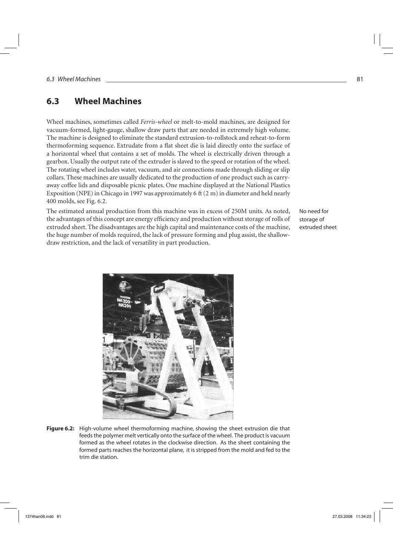#### **6.3 Wheel Machines**

Wheel machines, sometimes called *Ferris-wheel* or melt-to-mold machines, are designed for vacuum-formed, light-gauge, shallow draw parts that are needed in extremely high volume. The machine is designed to eliminate the standard extrusion-to-rollstock and reheat-to-form thermoforming sequence. Extrudate from a flat sheet die is laid directly onto the surface of a horizontal wheel that contains a set of molds. The wheel is electrically driven through a gearbox. Usually the output rate of the extruder is slaved to the speed or rotation of the wheel. The rotating wheel includes water, vacuum, and air connections made through sliding or slip collars. These machines are usually dedicated to the production of one product such as carryaway coffee lids and disposable picnic plates. One machine displayed at the National Plastics Exposition (NPE) in Chicago in 1997 was approximately 6 ft (2 m) in diameter and held nearly 400 molds, see Fig. 6.2.

The estimated annual production from this machine was in excess of 250M units. As noted, the advantages of this concept are energy efficiency and production without storage of rolls of extruded sheet. The disadvantages are the high capital and maintenance costs of the machine, the huge number of molds required, the lack of pressure forming and plug assist, the shallowdraw restriction, and the lack of versatility in part production.

No need for storage of extruded sheet



**Figure 6.2:** High-volume wheel thermoforming machine, showing the sheet extrusion die that feeds the polymer melt vertically onto the surface of the wheel. The product is vacuum formed as the wheel rotates in the clockwise direction. As the sheet containing the formed parts reaches the horizontal plane, it is stripped from the mold and fed to the trim die station.